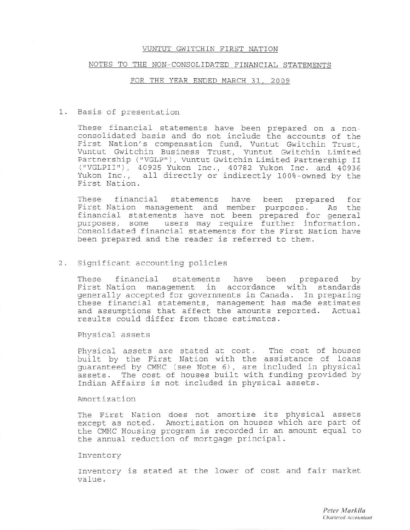#### NOTES TO THE NON-CONSOLIDATED FINANCIAL STATEMENTS

#### FOR THE YEAR ENDED MARCH 31, 2009

### 1. Basis of presentation

These financial statements have been prepared on a nonconsolidated basis and do not include the accounts of the First Nation's compensation fund, Vuntut Gwitchin Trust, Vuntut Gwitchin Business Trust, Vuntut Gwitchin Limited Partnership ("VGLP"), Vuntut Gwitchin Limited Partnership II ("VGLPII"), 40925 Yukon Inc., 40782 Yukon Inc. and 40936 Yukon Inc., all directly or indirectly 100%-owned by the First Nation.

These financial statements have been prepared for First Nation management and member purposes. As the financial statements have not been prepared for general<br>purposes, some users may require further information. Consolidated financial statements for the First Nation have been prepared and the reader is referred to them.

#### Significant accounting policies  $2.$

financial These statements have been prepared by First Nation management in accordance with standards generally accepted for governments in Canada. In preparing these financial statements, management has made estimates and assumptions that affect the amounts reported. Actual results could differ from those estimates.

Physical assets

Physical assets are stated at cost. The cost of houses built by the First Nation with the assistance of loans quaranteed by CMHC (see Note 6), are included in physical assets. The cost of houses built with funding provided by Indian Affairs is not included in physical assets.

# Amortization

The First Nation does not amortize its physical assets except as noted. Amortization on houses which are part of the CMHC Housing program is recorded in an amount equal to the annual reduction of mortgage principal.

### Inventory

Inventory is stated at the lower of cost and fair market value.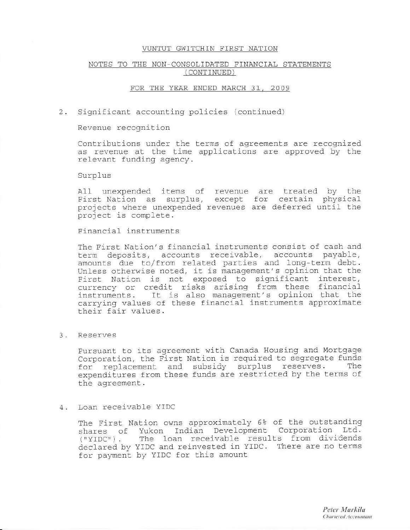# NOTES TO THE NON-CONSOLIDATED FINANCIAL STATEMENTS (CONTINUED)

# FOR THE YEAR ENDED MARCH 31, 2009

#### 2. Significant accounting policies (continued)

#### Revenue recognition

Contributions under the terms of agreements are recognized as revenue at the time applications are approved by the relevant funding agency.

#### Surplus

All unexpended items of revenue are treated by the First Nation as surplus, except for certain physical projects where unexpended revenues are deferred until the project is complete.

# Financial instruments

The First Nation's financial instruments consist of cash and term deposits, accounts receivable, accounts payable, amounts due to/from related parties and long-term debt. Unless otherwise noted, it is management's opinion that the First Nation is not exposed to significant interest,<br>currency or credit risks arising from these financial instruments. It is also management's opinion that the carrying values of these financial instruments approximate their fair values.

# 3. Reserves

Pursuant to its agreement with Canada Housing and Mortgage Corporation, the First Nation is required to seqregate funds for replacement and subsidy surplus reserves. The expenditures from these funds are restricted by the terms of the agreement.

#### Loan receivable YIDC 4.

The First Nation owns approximately 6% of the outstanding shares of Yukon Indian Development Corporation Ltd.<br>("YIDC"). The loan receivable results from dividends declared by YIDC and reinvested in YIDC. There are no terms for payment by YIDC for this amount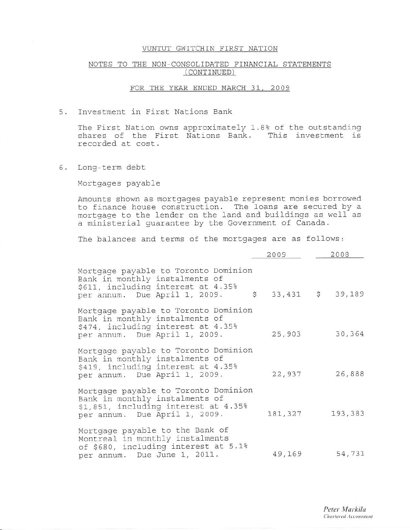# NOTES TO THE NON-CONSOLIDATED FINANCIAL STATEMENTS (CONTINUED)

### FOR THE YEAR ENDED MARCH 31, 2009

#### Investment in First Nations Bank 5.

The First Nation owns approximately 1.8% of the outstanding shares of the First Nations Bank. This investment is recorded at cost.

6. Long-term debt

Mortgages payable

Amounts shown as mortgages payable represent monies borrowed to finance house construction. The loans are secured by a mortgage to the lender on the land and buildings as well as a ministerial quarantee by the Government of Canada.

The balances and terms of the mortgages are as follows:

|                                                                                                                                                 | 2009   | 2008                |
|-------------------------------------------------------------------------------------------------------------------------------------------------|--------|---------------------|
| Mortgage payable to Toronto Dominion<br>Bank in monthly instalments of<br>\$611, including interest at 4.35%<br>per annum. Due April 1, 2009.   |        | $$33,431$ $$39,189$ |
| Mortgage payable to Toronto Dominion<br>Bank in monthly instalments of<br>\$474, including interest at 4.35%<br>per annum. Due April 1, 2009.   | 25,903 | 30,364              |
| Mortgage payable to Toronto Dominion<br>Bank in monthly instalments of<br>\$419, including interest at 4.35%<br>per annum. Due April 1, 2009.   | 22,937 | 26,888              |
| Mortgage payable to Toronto Dominion<br>Bank in monthly instalments of<br>\$1,851, including interest at 4.35%<br>per annum. Due April 1, 2009. |        | 181, 327 193, 383   |
| Mortgage payable to the Bank of<br>Montreal in monthly instalments<br>of \$680, including interest at 5.1%<br>per annum. Due June 1, 2011.      |        | 49,169 54,731       |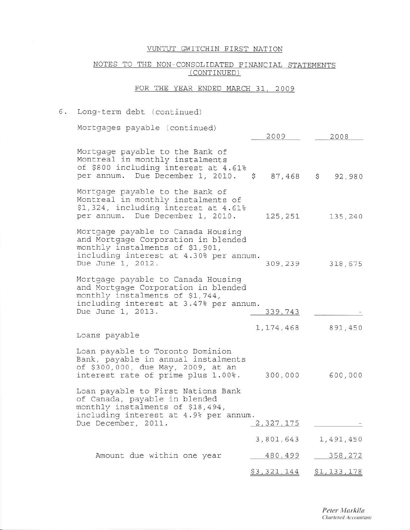# NOTES TO THE NON-CONSOLIDATED FINANCIAL STATEMENTS (CONTINUED)

#### FOR THE YEAR ENDED MARCH 31, 2009

### 6. Long-term debt (continued) Mortgages payable (continued) 2009 2008 Mortgage payable to the Bank of Montreal in monthly instalments of \$800 including interest at 4.61% per annum. Due December 1, 2010.  $$87,468$  \$92,980 Mortgage payable to the Bank of Montreal in monthly instalments of \$1,324, including interest at 4.61% per annum. Due December 1, 2010. 125, 251 135, 240 Mortgage payable to Canada Housing and Mortgage Corporation in blended monthly instalments of \$1,901, including interest at 4.30% per annum. Due June 1, 2012. 309,239 318,675 Mortgage payable to Canada Housing and Mortgage Corporation in blended monthly instalments of \$1,744, including interest at 3.47% per annum. Due June 1, 2013. 339,743 1, 174, 468 891,450 Loans payable Loan payable to Toronto Dominion Bank, payable in annual instalments of \$300,000, due May, 2009, at an interest rate of prime plus 1.00%. 300,000 600,000 Loan payable to First Nations Bank of Canada, payable in blended monthly instalments of \$18,494, including interest at 4.9% per annum. Due December, 2011. 2,327,175 3,801,643 1,491,450 Amount due within one year 480,499 358,272  $$3,321,144$  $$1,133,178$

Peter Markila Chartered Accountant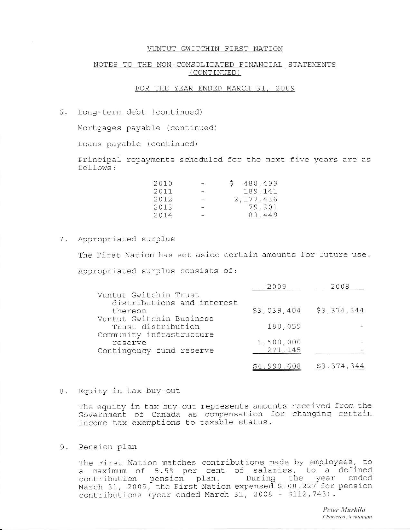# NOTES TO THE NON-CONSOLIDATED FINANCIAL STATEMENTS (CONTINUED)

# FOR THE YEAR ENDED MARCH 31, 2009

6. Long-term debt (continued)

Mortgages payable (continued)

Loans payable (continued)

Principal repayments scheduled for the next five years are as follows:

| 2010 | $-1$                                                                                                                                                                                                                                                                                                                                                                                                                                                                       | 480,499     |
|------|----------------------------------------------------------------------------------------------------------------------------------------------------------------------------------------------------------------------------------------------------------------------------------------------------------------------------------------------------------------------------------------------------------------------------------------------------------------------------|-------------|
| 2011 | $\rightarrow$                                                                                                                                                                                                                                                                                                                                                                                                                                                              | 189,141     |
| 2012 | $\frac{1}{2} \left( \frac{1}{2} \right) \left( \frac{1}{2} \right) \left( \frac{1}{2} \right) \left( \frac{1}{2} \right) \left( \frac{1}{2} \right) \left( \frac{1}{2} \right) \left( \frac{1}{2} \right) \left( \frac{1}{2} \right) \left( \frac{1}{2} \right) \left( \frac{1}{2} \right) \left( \frac{1}{2} \right) \left( \frac{1}{2} \right) \left( \frac{1}{2} \right) \left( \frac{1}{2} \right) \left( \frac{1}{2} \right) \left( \frac{1}{2} \right) \left( \frac$ | 2, 177, 436 |
| 2013 | $\frac{1}{2}$                                                                                                                                                                                                                                                                                                                                                                                                                                                              | 79,901      |
| 2014 |                                                                                                                                                                                                                                                                                                                                                                                                                                                                            | 83,449      |

# 7. Appropriated surplus

The First Nation has set aside certain amounts for future use. Appropriated surplus consists of:

|                            | 2009        | 2008        |
|----------------------------|-------------|-------------|
| Vuntut Gwitchin Trust      |             |             |
| distributions and interest |             |             |
| thereon                    | \$3,039,404 | \$3,374,344 |
| Vuntut Gwitchin Business   |             |             |
| Trust distribution         | 180,059     |             |
| Community infrastructure   |             |             |
| reserve                    | 1,500,000   |             |
| Contingency fund reserve   | 271,145     |             |
|                            |             |             |
|                            | \$4,990,608 | \$3,374,344 |

8. Equity in tax buy-out

The equity in tax buy-out represents amounts received from the Government of Canada as compensation for changing certain income tax exemptions to taxable status.

### 9. Pension plan

The First Nation matches contributions made by employees, to a maximum of 5.5% per cent of salaries, to a defined<br>contribution pension plan. During the year ended<br>March 31, 2009, the First Nation expensed \$108,227 for pension contributions (year ended March 31, 2008 - \$112,743).